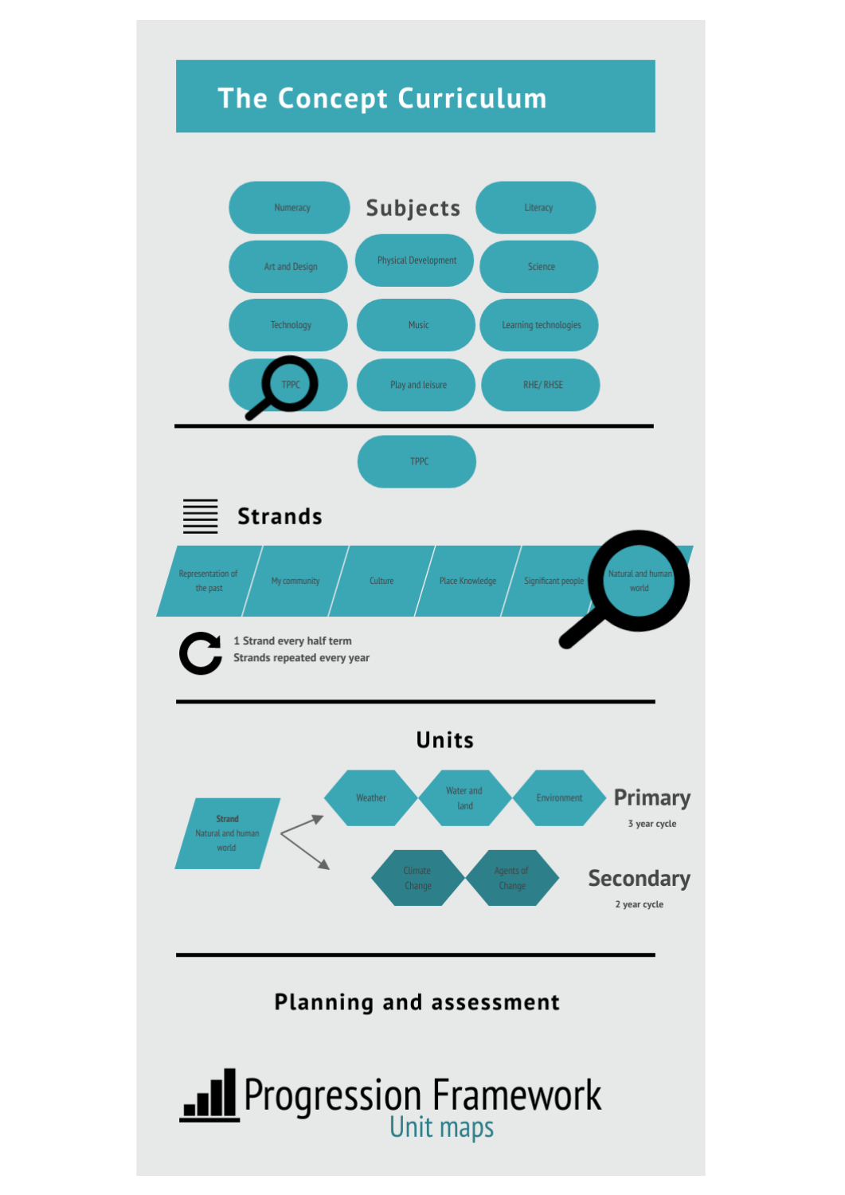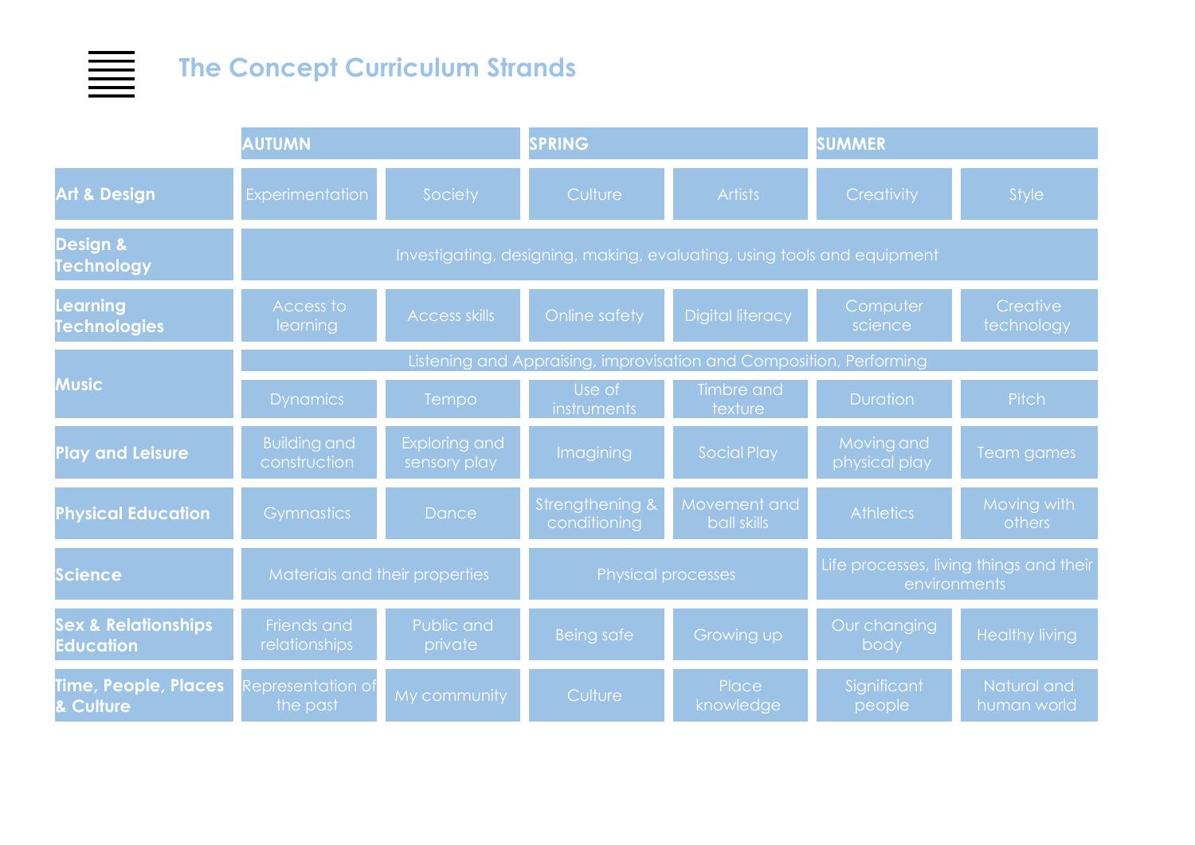## **The Concept Curriculum Strands**

畺

|                                                    | <b>AUTUMN</b>                                                           |                                      | <b>SPRING</b>                   |                             | <b>SUMMER</b>                                           |                            |  |
|----------------------------------------------------|-------------------------------------------------------------------------|--------------------------------------|---------------------------------|-----------------------------|---------------------------------------------------------|----------------------------|--|
| <b>Art &amp; Design</b>                            | <b>Experimentation</b>                                                  | Society                              | Culture                         | <b>Artists</b>              | Creativity                                              | <b>Style</b>               |  |
| Design &<br><b>Technology</b>                      | Investigating, designing, making, evaluating, using tools and equipment |                                      |                                 |                             |                                                         |                            |  |
| Learning<br><b>Technologies</b>                    | Access to<br>learning                                                   | <b>Access skills</b>                 | Online safety                   | <b>Digital literacy</b>     | Computer<br>science                                     | Creative<br>technology     |  |
|                                                    | Listening and Appraising, improvisation and Composition, Performing     |                                      |                                 |                             |                                                         |                            |  |
| <b>Music</b>                                       | <b>Dynamics</b>                                                         | Tempo                                | Use of<br>instruments           | Timbre and<br>texture       | <b>Duration</b>                                         | <b>Pitch</b>               |  |
| <b>Play and Leisure</b>                            | <b>Building and</b><br>construction                                     | <b>Exploring and</b><br>sensory play | Imagining                       | Social Play                 | Moving and<br>physical play                             | Team games                 |  |
| <b>Physical Education</b>                          | <b>Gymnastics</b>                                                       | Dance                                | Strengthening &<br>conditioning | Movement and<br>ball skills | <b>Athletics</b>                                        | Moving with<br>others      |  |
| Science                                            | Materials and their properties                                          |                                      | <b>Physical processes</b>       |                             | Life processes, living things and their<br>environments |                            |  |
| <b>Sex &amp; Relationships</b><br><b>Education</b> | Friends and<br>relationships                                            | Public and<br>private                | <b>Being safe</b>               | Growing up                  | Our changing<br>body                                    | <b>Healthy living</b>      |  |
| <b>Time, People, Places</b><br><b>Culture</b>      | Representation of<br>the past                                           | My community                         | Culture                         | Place<br>knowledge          | Significant<br>people                                   | Natural and<br>human world |  |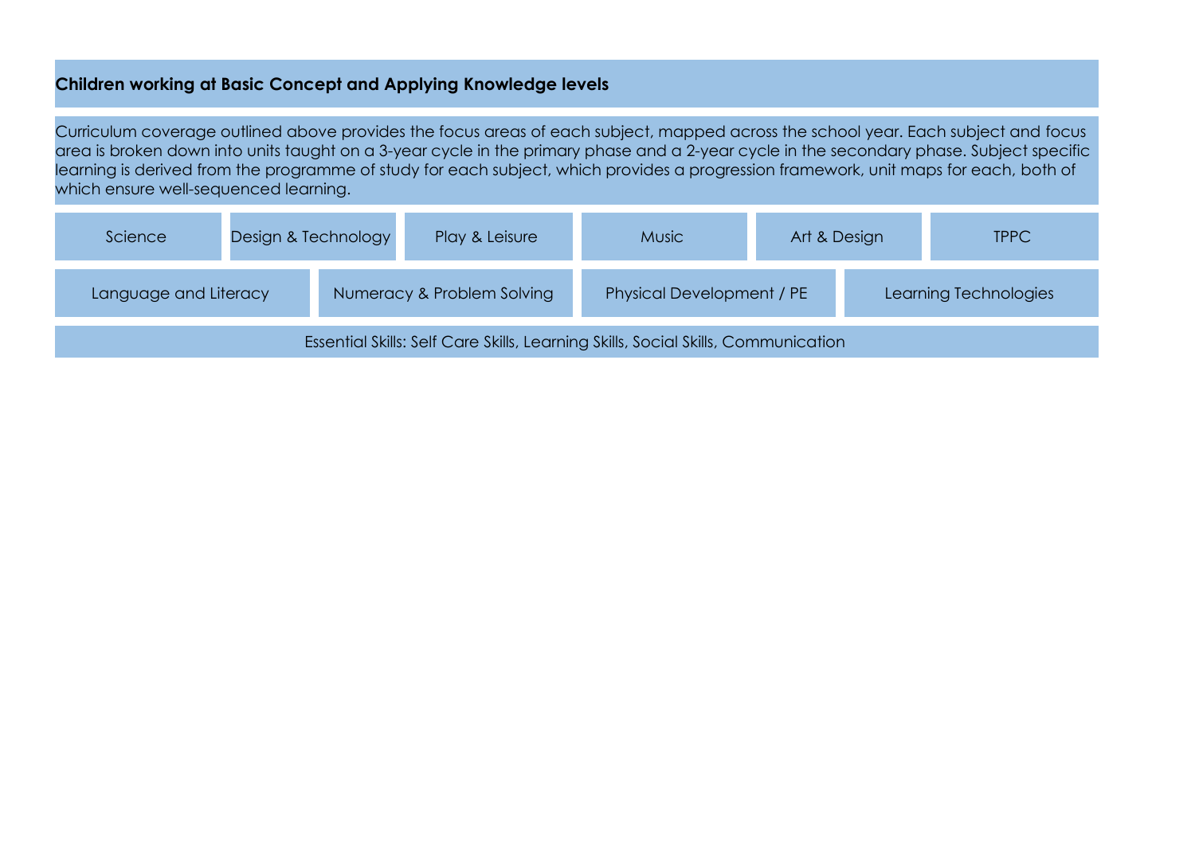## **Children working at Basic Concept and Applying Knowledge levels**

Curriculum coverage outlined above provides the focus areas of each subject, mapped across the school year. Each subject and focus area is broken down into units taught on a 3-year cycle in the primary phase and a 2-year cycle in the secondary phase. Subject specific learning is derived from the programme of study for each subject, which provides a progression framework, unit maps for each, both of which ensure well-sequenced learning.

| Science                                                                           |  | Design & Technology | Play & Leisure             | <b>Music</b>              | Art & Design          |  | <b>TPPC</b> |
|-----------------------------------------------------------------------------------|--|---------------------|----------------------------|---------------------------|-----------------------|--|-------------|
| Language and Literacy                                                             |  |                     | Numeracy & Problem Solving | Physical Development / PE | Learning Technologies |  |             |
| Essential Skills: Self Care Skills, Learning Skills, Social Skills, Communication |  |                     |                            |                           |                       |  |             |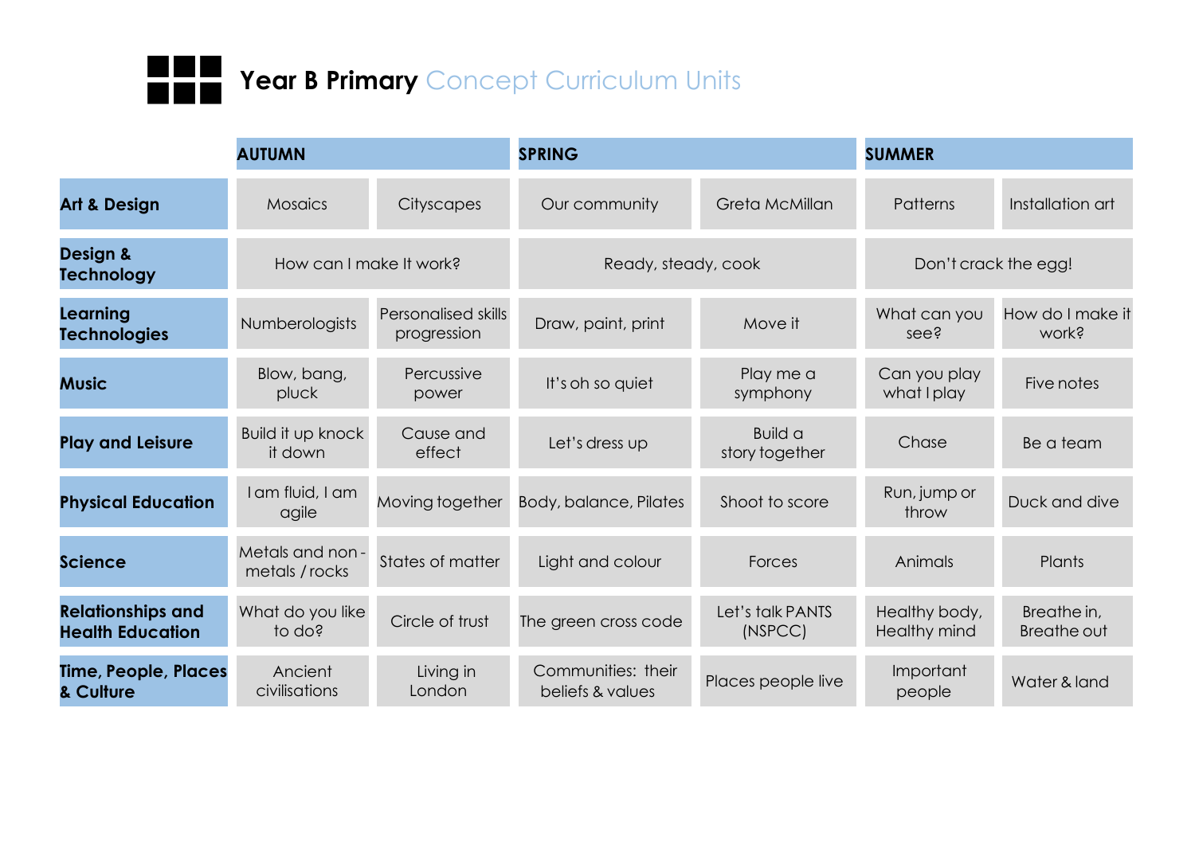

|                                                     | <b>AUTUMN</b>                     |                                    | <b>SPRING</b>                          |                             | <b>SUMMER</b>                 |                                   |
|-----------------------------------------------------|-----------------------------------|------------------------------------|----------------------------------------|-----------------------------|-------------------------------|-----------------------------------|
| <b>Art &amp; Design</b>                             | <b>Mosaics</b>                    | Cityscapes                         | Our community                          | Greta McMillan              | Patterns                      | Installation art                  |
| Design &<br><b>Technology</b>                       | How can I make It work?           |                                    | Ready, steady, cook                    |                             | Don't crack the egg!          |                                   |
| Learning<br><b>Technologies</b>                     | Numberologists                    | Personalised skills<br>progression | Draw, paint, print                     | Move it                     | What can you<br>see?          | How do I make it<br>work?         |
| <b>Music</b>                                        | Blow, bang,<br>pluck              | Percussive<br>power                | It's oh so quiet                       | Play me a<br>symphony       | Can you play<br>what I play   | Five notes                        |
| <b>Play and Leisure</b>                             | Build it up knock<br>it down      | Cause and<br>effect                | Let's dress up                         | Build a<br>story together   | Chase                         | Be a team                         |
| <b>Physical Education</b>                           | I am fluid, I am<br>agile         | Moving together                    | Body, balance, Pilates                 | Shoot to score              | Run, jump or<br>throw         | Duck and dive                     |
| <b>Science</b>                                      | Metals and non-<br>metals / rocks | States of matter                   | Light and colour                       | Forces                      | Animals                       | Plants                            |
| <b>Relationships and</b><br><b>Health Education</b> | What do you like<br>to do?        | Circle of trust                    | The green cross code                   | Let's talk PANTS<br>(NSPCC) | Healthy body,<br>Healthy mind | Breathe in,<br><b>Breathe out</b> |
| Time, People, Places<br>& Culture                   | Ancient<br>civilisations          | Living in<br>London                | Communities: their<br>beliefs & values | Places people live          | Important<br>people           | Water & land                      |